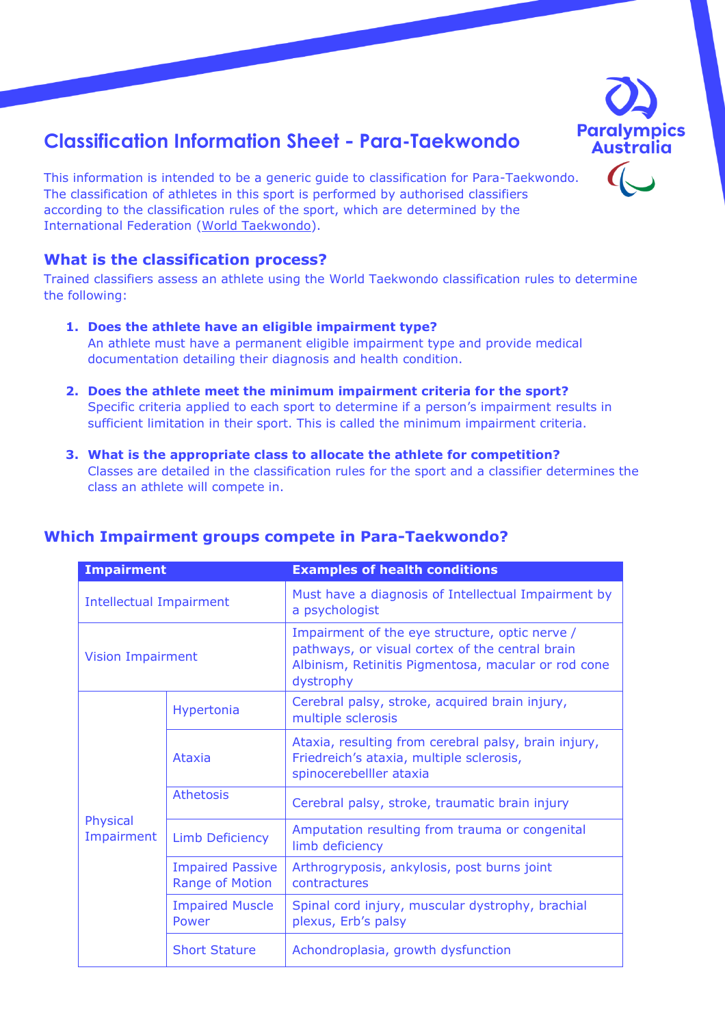

# **Classification Information Sheet - Para-Taekwondo**

This information is intended to be a generic guide to classification for Para-Taekwondo. The classification of athletes in this sport is performed by authorised classifiers according to the classification rules of the sport, which are determined by the International Federation [\(World Taekwondo\)](http://www.worldtaekwondo.org/).

### **What is the classification process?**

Trained classifiers assess an athlete using the World Taekwondo classification rules to determine the following:

- **1. Does the athlete have an eligible impairment type?**  An athlete must have a permanent eligible impairment type and provide medical documentation detailing their diagnosis and health condition.
- **2. Does the athlete meet the minimum impairment criteria for the sport?**  Specific criteria applied to each sport to determine if a person's impairment results in sufficient limitation in their sport. This is called the minimum impairment criteria.
- **3. What is the appropriate class to allocate the athlete for competition?**  Classes are detailed in the classification rules for the sport and a classifier determines the class an athlete will compete in.

| <b>Impairment</b>              |                                                   | <b>Examples of health conditions</b>                                                                                                                                  |
|--------------------------------|---------------------------------------------------|-----------------------------------------------------------------------------------------------------------------------------------------------------------------------|
| <b>Intellectual Impairment</b> |                                                   | Must have a diagnosis of Intellectual Impairment by<br>a psychologist                                                                                                 |
| <b>Vision Impairment</b>       |                                                   | Impairment of the eye structure, optic nerve /<br>pathways, or visual cortex of the central brain<br>Albinism, Retinitis Pigmentosa, macular or rod cone<br>dystrophy |
|                                | Hypertonia                                        | Cerebral palsy, stroke, acquired brain injury,<br>multiple sclerosis                                                                                                  |
|                                | Ataxia                                            | Ataxia, resulting from cerebral palsy, brain injury,<br>Friedreich's ataxia, multiple sclerosis,<br>spinocerebelller ataxia                                           |
|                                | <b>Athetosis</b>                                  | Cerebral palsy, stroke, traumatic brain injury                                                                                                                        |
| Physical<br>Impairment         | <b>Limb Deficiency</b>                            | Amputation resulting from trauma or congenital<br>limb deficiency                                                                                                     |
|                                | <b>Impaired Passive</b><br><b>Range of Motion</b> | Arthrogryposis, ankylosis, post burns joint<br>contractures                                                                                                           |
|                                | <b>Impaired Muscle</b><br>Power                   | Spinal cord injury, muscular dystrophy, brachial<br>plexus, Erb's palsy                                                                                               |
|                                | <b>Short Stature</b>                              | Achondroplasia, growth dysfunction                                                                                                                                    |

## **Which Impairment groups compete in Para-Taekwondo?**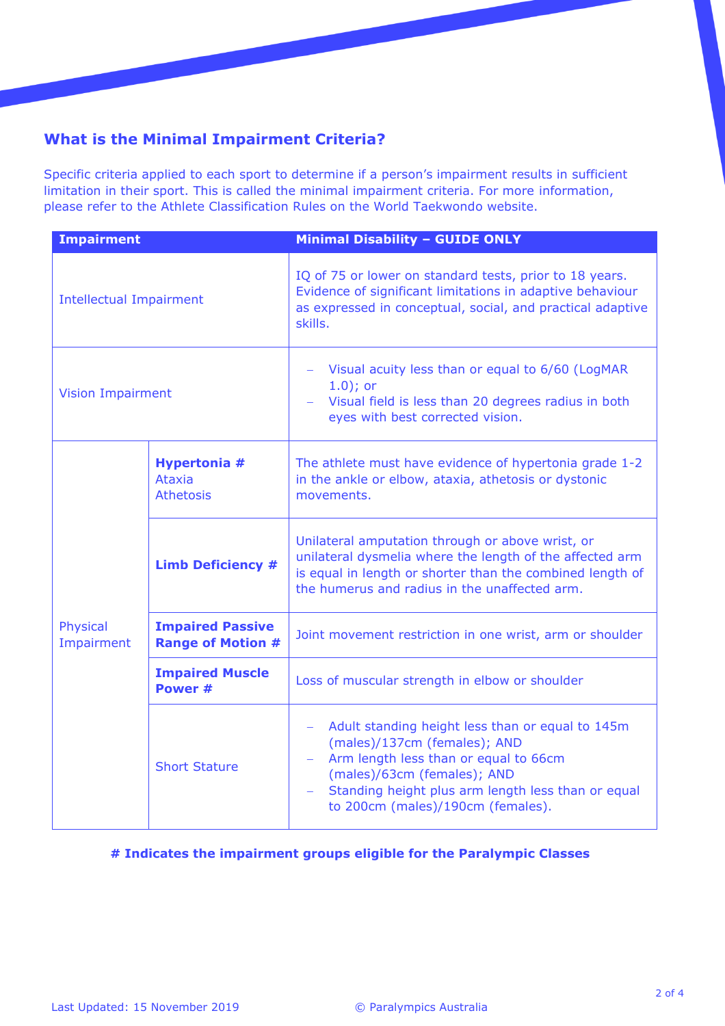# **What is the Minimal Impairment Criteria?**

Specific criteria applied to each sport to determine if a person's impairment results in sufficient limitation in their sport. This is called the minimal impairment criteria. For more information, please refer to the Athlete Classification Rules on the World Taekwondo website.

| <b>Impairment</b>              |                                                          | <b>Minimal Disability - GUIDE ONLY</b>                                                                                                                                                                                                                                                                            |
|--------------------------------|----------------------------------------------------------|-------------------------------------------------------------------------------------------------------------------------------------------------------------------------------------------------------------------------------------------------------------------------------------------------------------------|
| <b>Intellectual Impairment</b> |                                                          | IQ of 75 or lower on standard tests, prior to 18 years.<br>Evidence of significant limitations in adaptive behaviour<br>as expressed in conceptual, social, and practical adaptive<br>skills.                                                                                                                     |
| <b>Vision Impairment</b>       |                                                          | Visual acuity less than or equal to 6/60 (LogMAR<br>$1.0$ ); or<br>Visual field is less than 20 degrees radius in both<br>eyes with best corrected vision.                                                                                                                                                        |
| Physical<br>Impairment         | <b>Hypertonia #</b><br><b>Ataxia</b><br><b>Athetosis</b> | The athlete must have evidence of hypertonia grade 1-2<br>in the ankle or elbow, ataxia, athetosis or dystonic<br>movements.                                                                                                                                                                                      |
|                                | <b>Limb Deficiency #</b>                                 | Unilateral amputation through or above wrist, or<br>unilateral dysmelia where the length of the affected arm<br>is equal in length or shorter than the combined length of<br>the humerus and radius in the unaffected arm.                                                                                        |
|                                | <b>Impaired Passive</b><br><b>Range of Motion #</b>      | Joint movement restriction in one wrist, arm or shoulder                                                                                                                                                                                                                                                          |
|                                | <b>Impaired Muscle</b><br>Power #                        | Loss of muscular strength in elbow or shoulder                                                                                                                                                                                                                                                                    |
|                                | <b>Short Stature</b>                                     | Adult standing height less than or equal to 145m<br>$\overline{\phantom{m}}$<br>(males)/137cm (females); AND<br>Arm length less than or equal to 66cm<br>$\overline{\phantom{m}}$<br>(males)/63cm (females); AND<br>Standing height plus arm length less than or equal<br>÷,<br>to 200cm (males)/190cm (females). |

#### **# Indicates the impairment groups eligible for the Paralympic Classes**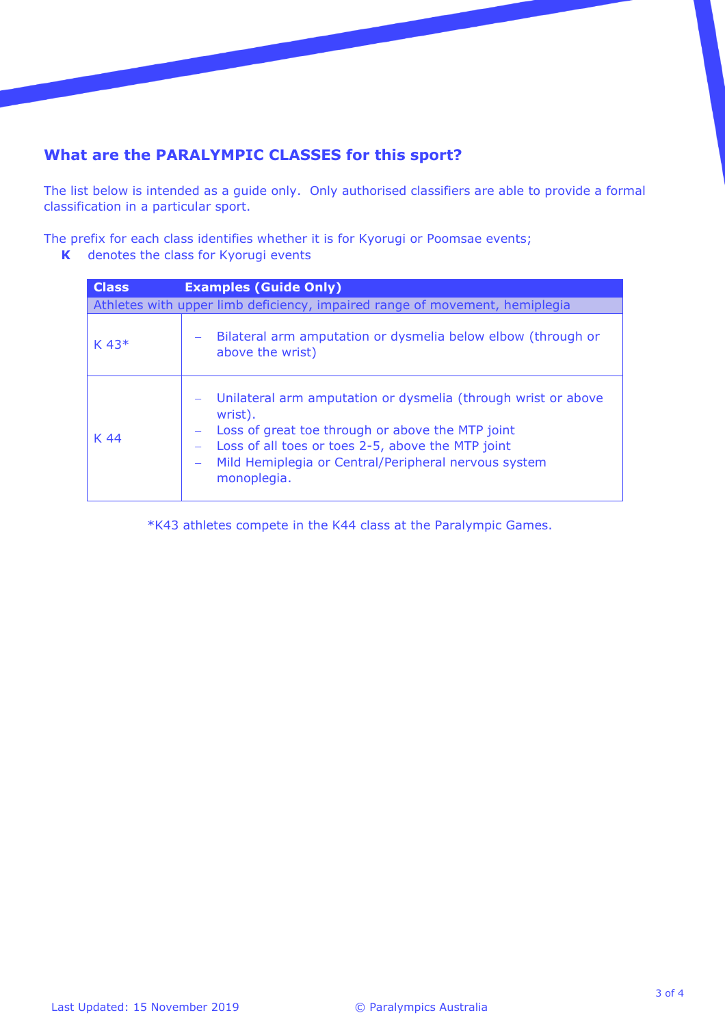# **What are the PARALYMPIC CLASSES for this sport?**

The list below is intended as a guide only. Only authorised classifiers are able to provide a formal classification in a particular sport.

The prefix for each class identifies whether it is for Kyorugi or Poomsae events;

**K** denotes the class for Kyorugi events

| <b>Class</b>        | <b>Examples (Guide Only)</b>                                                                                                                                                                                                                             |
|---------------------|----------------------------------------------------------------------------------------------------------------------------------------------------------------------------------------------------------------------------------------------------------|
|                     | Athletes with upper limb deficiency, impaired range of movement, hemiplegia                                                                                                                                                                              |
| $K$ 43 <sup>*</sup> | Bilateral arm amputation or dysmelia below elbow (through or<br>above the wrist)                                                                                                                                                                         |
| K 44                | Unilateral arm amputation or dysmelia (through wrist or above<br>wrist).<br>Loss of great toe through or above the MTP joint<br>Loss of all toes or toes 2-5, above the MTP joint<br>Mild Hemiplegia or Central/Peripheral nervous system<br>monoplegia. |

\*K43 athletes compete in the K44 class at the Paralympic Games.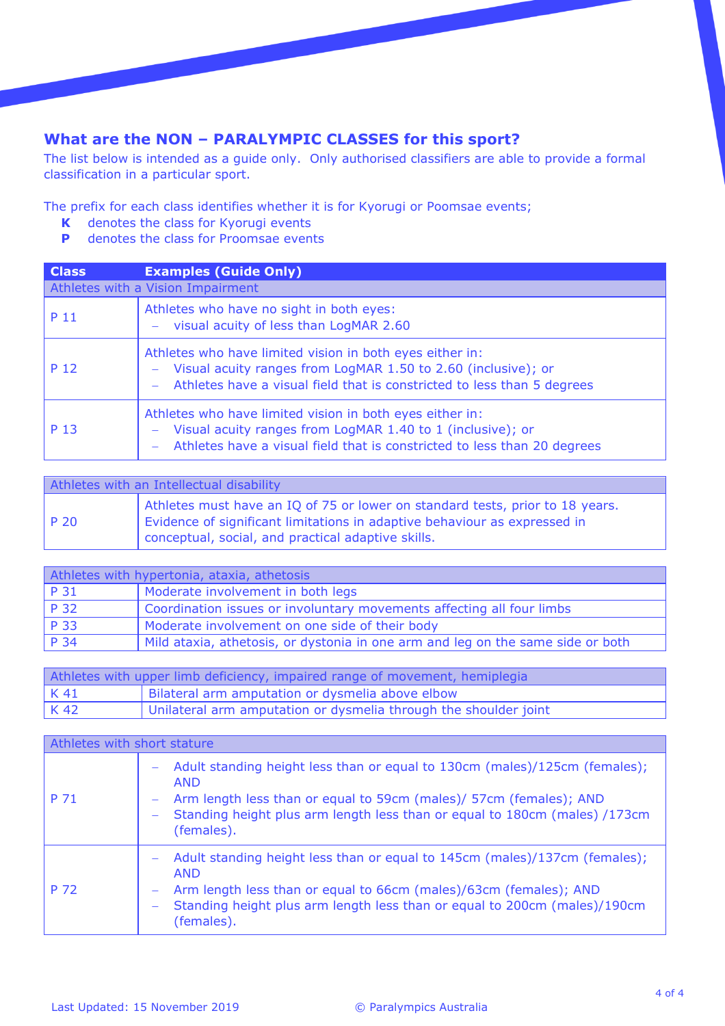# **What are the NON – PARALYMPIC CLASSES for this sport?**

The list below is intended as a guide only. Only authorised classifiers are able to provide a formal classification in a particular sport.

The prefix for each class identifies whether it is for Kyorugi or Poomsae events;

- **K** denotes the class for Kyorugi events<br>**P** denotes the class for Proomsae event
- **P** denotes the class for Proomsae events

| <b>Class</b> | <b>Examples (Guide Only)</b>                                                                                                                                                                         |
|--------------|------------------------------------------------------------------------------------------------------------------------------------------------------------------------------------------------------|
|              | Athletes with a Vision Impairment                                                                                                                                                                    |
| P 11         | Athletes who have no sight in both eyes:<br>- visual acuity of less than LogMAR 2.60                                                                                                                 |
| P 12         | Athletes who have limited vision in both eyes either in:<br>Visual acuity ranges from LogMAR 1.50 to 2.60 (inclusive); or<br>Athletes have a visual field that is constricted to less than 5 degrees |
| P 13         | Athletes who have limited vision in both eyes either in:<br>Visual acuity ranges from LogMAR 1.40 to 1 (inclusive); or<br>Athletes have a visual field that is constricted to less than 20 degrees   |

| Athletes with an Intellectual disability |                                                                                                                                                                                                                  |
|------------------------------------------|------------------------------------------------------------------------------------------------------------------------------------------------------------------------------------------------------------------|
| P 20                                     | Athletes must have an IQ of 75 or lower on standard tests, prior to 18 years.<br>Evidence of significant limitations in adaptive behaviour as expressed in<br>conceptual, social, and practical adaptive skills. |

| Athletes with hypertonia, ataxia, athetosis |                                                                                 |
|---------------------------------------------|---------------------------------------------------------------------------------|
| P 31                                        | Moderate involvement in both legs                                               |
| P 32                                        | Coordination issues or involuntary movements affecting all four limbs           |
| P 33                                        | Moderate involvement on one side of their body                                  |
| P34                                         | Mild ataxia, athetosis, or dystonia in one arm and leg on the same side or both |

| Athletes with upper limb deficiency, impaired range of movement, hemiplegia |                                                                  |
|-----------------------------------------------------------------------------|------------------------------------------------------------------|
| K 41                                                                        | Bilateral arm amputation or dysmelia above elbow                 |
| K 42                                                                        | Unilateral arm amputation or dysmelia through the shoulder joint |

| Athletes with short stature |                                                                                                                                                                                                                                                                                      |
|-----------------------------|--------------------------------------------------------------------------------------------------------------------------------------------------------------------------------------------------------------------------------------------------------------------------------------|
| P 71                        | Adult standing height less than or equal to 130cm (males)/125cm (females);<br>$\qquad \qquad -$<br><b>AND</b><br>Arm length less than or equal to 59cm (males)/ 57cm (females); AND<br>-<br>Standing height plus arm length less than or equal to 180cm (males) /173cm<br>(females). |
| P 72                        | Adult standing height less than or equal to 145cm (males)/137cm (females);<br>$\overline{\phantom{m}}$<br><b>AND</b><br>Arm length less than or equal to 66cm (males)/63cm (females); AND<br>Standing height plus arm length less than or equal to 200cm (males)/190cm<br>(females). |